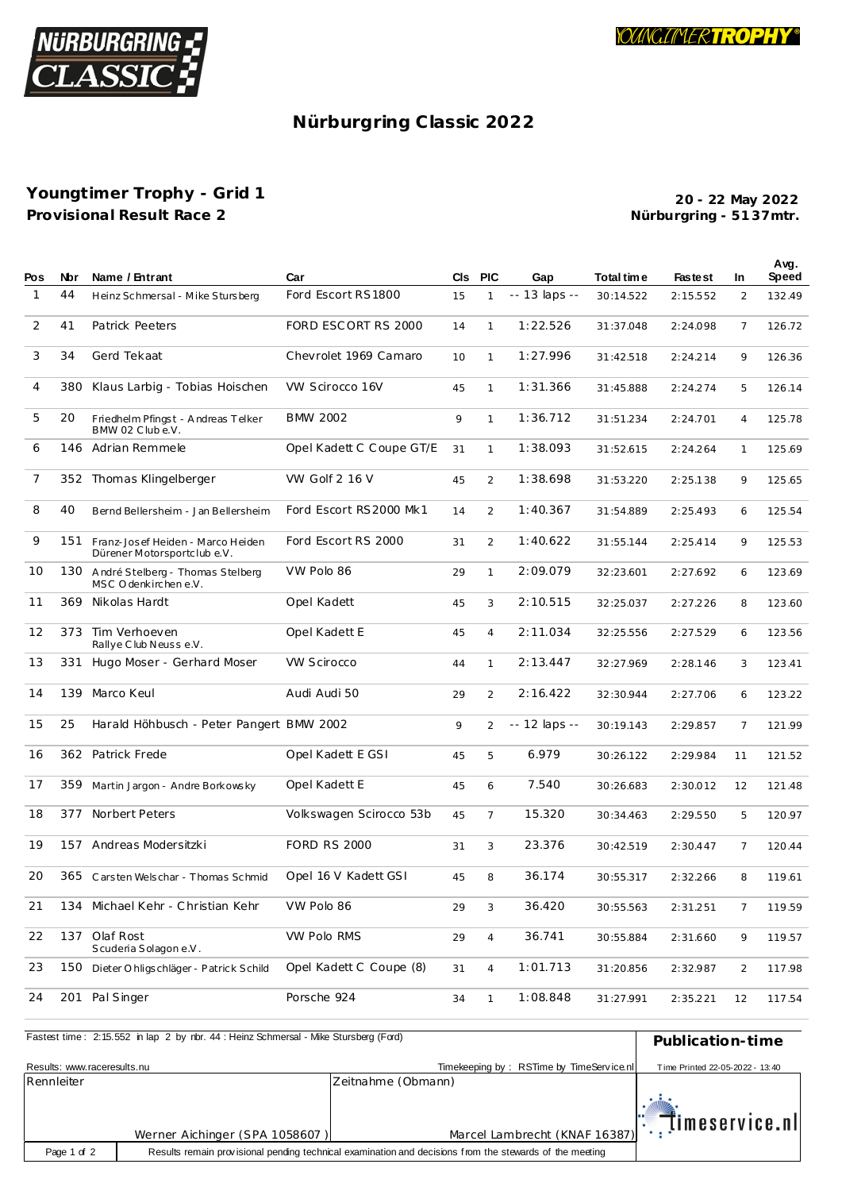

## Nürburgring Classic 2022

## Youngtimer Trophy - Grid 1 Provisional Result Race 2

20 - 22 May 2022 Nürburgring - 5137mtr.

 $\overline{a}$ 

| Pos            | Nbr | Name / Entrant                                                   | Car                      | CIs | <b>PIC</b>     | Gap           | Total time | <b>Fastest</b> | In.            | Avg.<br>Speed |
|----------------|-----|------------------------------------------------------------------|--------------------------|-----|----------------|---------------|------------|----------------|----------------|---------------|
| $\mathbf{1}$   | 44  | Heinz Schmersal - Mike Stursberg                                 | Ford Escort RS1800       | 15  | $\mathbf{1}$   | -- 13 laps -- | 30:14.522  | 2:15.552       | 2              | 132.49        |
| 2              | 41  | Patrick Peeters                                                  | FORD ESCORT RS 2000      | 14  | $\mathbf{1}$   | 1:22.526      | 31:37.048  | 2:24.098       | 7              | 126.72        |
| 3              | 34  | Gerd Tekaat                                                      | Chevrolet 1969 Camaro    | 10  | $\mathbf{1}$   | 1:27.996      | 31:42.518  | 2:24.214       | 9              | 126.36        |
| $\overline{4}$ | 380 | Klaus Larbig - Tobias Hoischen                                   | VW Scirocco 16V          | 45  | $\mathbf{1}$   | 1:31.366      | 31:45.888  | 2:24.274       | 5              | 126.14        |
| 5              | 20  | Friedhelm Pfingst - Andreas Telker<br>BMW 02 Clube.V.            | BMW 2002                 | 9   | $\mathbf{1}$   | 1:36.712      | 31:51.234  | 2:24.701       | 4              | 125.78        |
| 6              |     | 146 Adrian Remmele                                               | Opel Kadett C Coupe GT/E | 31  | $\mathbf{1}$   | 1:38.093      | 31:52.615  | 2:24.264       | 1              | 125.69        |
| 7              |     | 352 Thomas Klingelberger                                         | VW Golf 2 16 V           | 45  | 2              | 1:38.698      | 31:53.220  | 2:25.138       | 9              | 125.65        |
| 8              | 40  | Bernd Bellersheim - Jan Bellersheim                              | Ford Escort RS2000 Mk1   | 14  | 2              | 1:40.367      | 31:54.889  | 2:25.493       | 6              | 125.54        |
| 9              | 151 | Franz-Josef Heiden - Marco Heiden<br>Dürener Motorsportclub e.V. | Ford Escort RS 2000      | 31  | 2              | 1:40.622      | 31:55.144  | 2:25.414       | 9              | 125.53        |
| 10             | 130 | André Stelberg - Thomas Stelberg<br>MSC Odenkirchene.V.          | VW Polo 86               | 29  | $\mathbf{1}$   | 2:09.079      | 32:23.601  | 2:27.692       | 6              | 123.69        |
| 11             | 369 | Nikolas Hardt                                                    | Opel Kadett              | 45  | 3              | 2:10.515      | 32:25.037  | 2:27.226       | 8              | 123.60        |
| 12             | 373 | Tim Verhoeven<br>Rallye Club Neusse.V.                           | Opel Kadett E            | 45  | $\overline{4}$ | 2:11.034      | 32:25.556  | 2:27.529       | 6              | 123.56        |
| 13             | 331 | Hugo Moser - Gerhard Moser                                       | <b>VW Scirocco</b>       | 44  | $\mathbf{1}$   | 2:13.447      | 32:27.969  | 2:28.146       | 3              | 123.41        |
| 14             | 139 | Marco Keul                                                       | Audi Audi 50             | 29  | 2              | 2:16.422      | 32:30.944  | 2:27.706       | 6              | 123.22        |
| 15             | 25  | Harald Höhbusch - Peter Pangert BMW 2002                         |                          | 9   | $\overline{2}$ | -- 12 laps -- | 30:19.143  | 2:29.857       | $\overline{7}$ | 121.99        |
| 16             |     | 362 Patrick Frede                                                | Opel Kadett E GSI        | 45  | 5              | 6.979         | 30:26.122  | 2:29.984       | 11             | 121.52        |
| 17             | 359 | Martin Jargon - Andre Borkowsky                                  | Opel Kadett E            | 45  | 6              | 7.540         | 30:26.683  | 2:30.012       | 12             | 121.48        |
| 18             | 377 | Norbert Peters                                                   | Volkswagen Scirocco 53b  | 45  | $\overline{7}$ | 15.320        | 30:34.463  | 2:29.550       | 5              | 120.97        |
| 19             | 157 | Andreas Modersitzki                                              | <b>FORD RS 2000</b>      | 31  | 3              | 23.376        | 30:42.519  | 2:30.447       | 7              | 120.44        |
| 20             |     | 365 Carsten Welschar - Thomas Schmid                             | Opel 16 V Kadett GSI     | 45  | 8              | 36.174        | 30:55.317  | 2:32.266       | 8              | 119.61        |
| 21             |     | 134 Michael Kehr - Christian Kehr                                | VW Polo 86               | 29  | $\sqrt{3}$     | 36.420        | 30:55.563  | 2:31.251       | 7              | 119.59        |
| 22             |     | 137 Olaf Rost<br>Scuderia Solagon e.V.                           | VW Polo RMS              | 29  | $\overline{4}$ | 36.741        | 30:55.884  | 2:31.660       | 9              | 119.57        |
| 23             | 150 | Dieter O hligschläger - Patrick Schild                           | Opel Kadett C Coupe (8)  | 31  | $\overline{4}$ | 1:01.713      | 31:20.856  | 2:32.987       | 2              | 117.98        |
| 24             | 201 | Pal Singer                                                       | Porsche 924              | 34  | $\mathbf{1}$   | 1:08.848      | 31:27.991  | 2:35.221       | 12             | 117.54        |

| Fastest time: 2:15.552 in lap 2 by rbr. 44: Heinz Schmersal - Mike Stursberg (Ford) | Publication-time                                                                                        |                                          |                                 |
|-------------------------------------------------------------------------------------|---------------------------------------------------------------------------------------------------------|------------------------------------------|---------------------------------|
| Results: www.raceresults.nu                                                         |                                                                                                         | Timekeeping by: RSTime by TimeService.nl | Time Printed 22-05-2022 - 13:40 |
| Rennleiter                                                                          |                                                                                                         | Zeitnahme (Obmann)                       |                                 |
|                                                                                     | Werner Aichinger (SPA 1058607)                                                                          | Marcel Lambrecht (KNAF 16387)            | $\mathbb{R}$ imeservice.nl      |
| Page 1 of 2                                                                         | Results remain provisional pending technical examination and decisions from the stewards of the meeting |                                          |                                 |